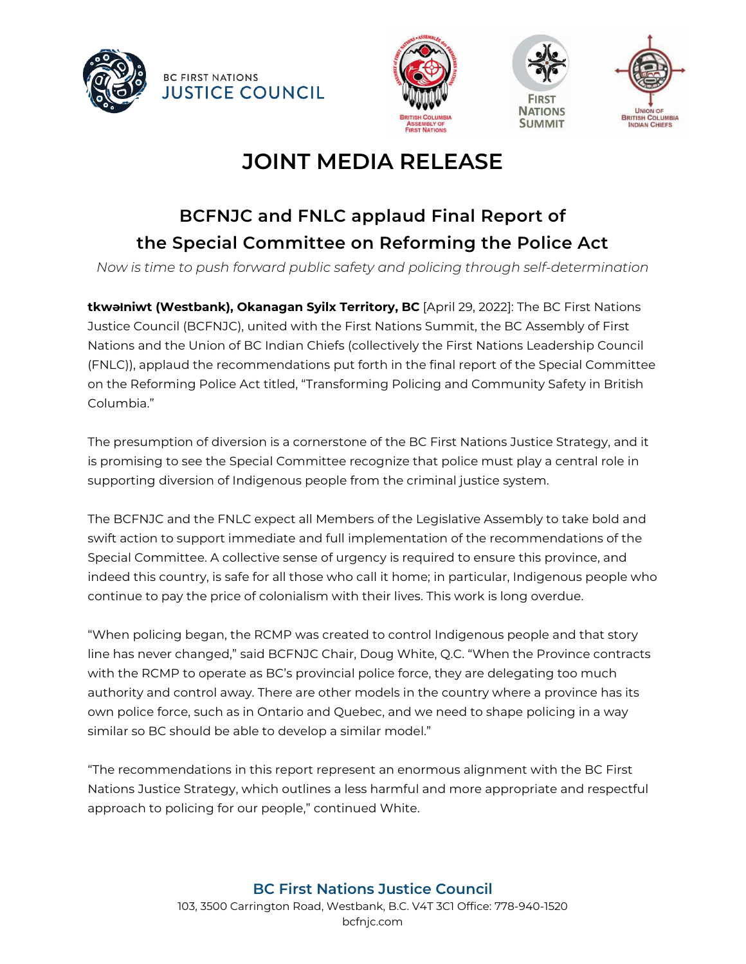





# **BCFNJC and FNLC applaud Final Report of the Special Committee on Reforming the Police Act**

*Now is time to push forward public safety and policing through self-determination*

**tkwəɬniwt (Westbank), Okanagan Syilx Territory, BC** [April 29, 2022]: The BC First Nations Justice Council (BCFNJC), united with the First Nations Summit, the BC Assembly of First Nations and the Union of BC Indian Chiefs (collectively the First Nations Leadership Council (FNLC)), applaud the recommendations put forth in the final report of the Special Committee on the Reforming Police Act titled, "Transforming Policing and Community Safety in British Columbia."

The presumption of diversion is a cornerstone of the BC First Nations Justice Strategy, and it is promising to see the Special Committee recognize that police must play a central role in supporting diversion of Indigenous people from the criminal justice system.

The BCFNJC and the FNLC expect all Members of the Legislative Assembly to take bold and swift action to support immediate and full implementation of the recommendations of the Special Committee. A collective sense of urgency is required to ensure this province, and indeed this country, is safe for all those who call it home; in particular, Indigenous people who continue to pay the price of colonialism with their lives. This work is long overdue.

"When policing began, the RCMP was created to control Indigenous people and that story line has never changed," said BCFNJC Chair, Doug White, Q.C. "When the Province contracts with the RCMP to operate as BC's provincial police force, they are delegating too much authority and control away. There are other models in the country where a province has its own police force, such as in Ontario and Quebec, and we need to shape policing in a way similar so BC should be able to develop a similar model."

"The recommendations in this report represent an enormous alignment with the BC First Nations Justice Strategy, which outlines a less harmful and more appropriate and respectful approach to policing for our people," continued White.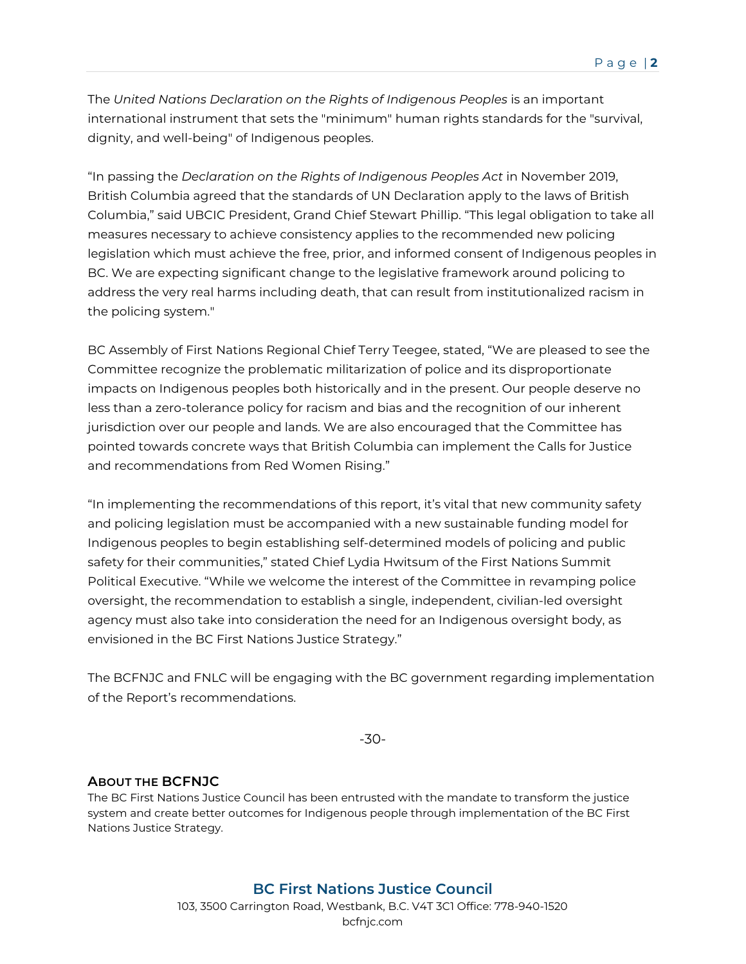The *United Nations Declaration on the Rights of Indigenous Peoples* is an important international instrument that sets the "minimum" human rights standards for the "survival, dignity, and well-being" of Indigenous peoples.

"In passing the *Declaration on the Rights of Indigenous Peoples Act* in November 2019, British Columbia agreed that the standards of UN Declaration apply to the laws of British Columbia," said UBCIC President, Grand Chief Stewart Phillip. "This legal obligation to take all measures necessary to achieve consistency applies to the recommended new policing legislation which must achieve the free, prior, and informed consent of Indigenous peoples in BC. We are expecting significant change to the legislative framework around policing to address the very real harms including death, that can result from institutionalized racism in the policing system."

BC Assembly of First Nations Regional Chief Terry Teegee, stated, "We are pleased to see the Committee recognize the problematic militarization of police and its disproportionate impacts on Indigenous peoples both historically and in the present. Our people deserve no less than a zero-tolerance policy for racism and bias and the recognition of our inherent jurisdiction over our people and lands. We are also encouraged that the Committee has pointed towards concrete ways that British Columbia can implement the Calls for Justice and recommendations from Red Women Rising."

"In implementing the recommendations of this report, it's vital that new community safety and policing legislation must be accompanied with a new sustainable funding model for Indigenous peoples to begin establishing self-determined models of policing and public safety for their communities," stated Chief Lydia Hwitsum of the First Nations Summit Political Executive. "While we welcome the interest of the Committee in revamping police oversight, the recommendation to establish a single, independent, civilian-led oversight agency must also take into consideration the need for an Indigenous oversight body, as envisioned in the BC First Nations Justice Strategy."

The BCFNJC and FNLC will be engaging with the BC government regarding implementation of the Report's recommendations.

-30-

### **ABOUT THE BCFNJC**

The BC First Nations Justice Council has been entrusted with the mandate to transform the justice system and create better outcomes for Indigenous people through implementation of the BC First Nations Justice Strategy.